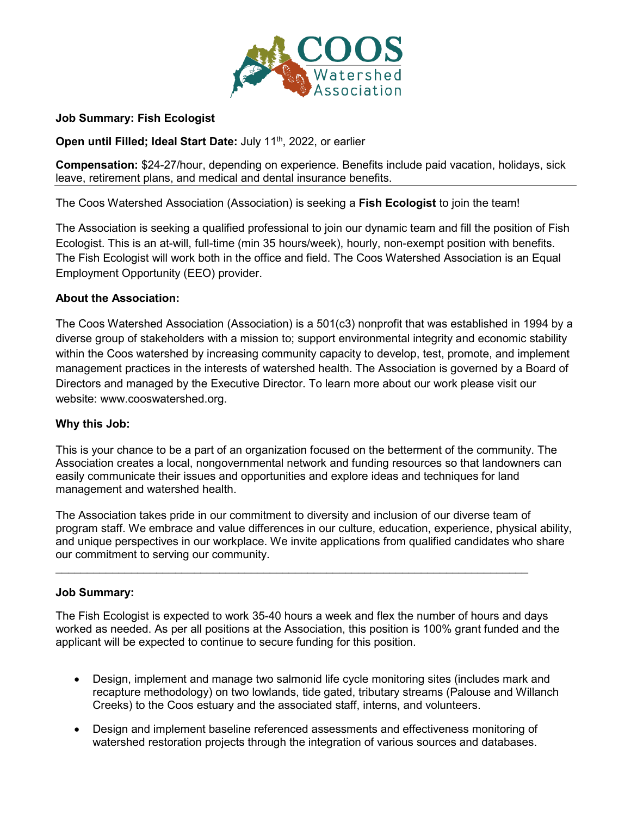

### **Job Summary: Fish Ecologist**

**Open until Filled; Ideal Start Date:** July 11<sup>th</sup>, 2022, or earlier

**Compensation:** \$24-27/hour, depending on experience. Benefits include paid vacation, holidays, sick leave, retirement plans, and medical and dental insurance benefits.

The Coos Watershed Association (Association) is seeking a **Fish Ecologist** to join the team!

The Association is seeking a qualified professional to join our dynamic team and fill the position of Fish Ecologist. This is an at-will, full-time (min 35 hours/week), hourly, non-exempt position with benefits. The Fish Ecologist will work both in the office and field. The Coos Watershed Association is an Equal Employment Opportunity (EEO) provider.

#### **About the Association:**

The Coos Watershed Association (Association) is a 501(c3) nonprofit that was established in 1994 by a diverse group of stakeholders with a mission to; support environmental integrity and economic stability within the Coos watershed by increasing community capacity to develop, test, promote, and implement management practices in the interests of watershed health. The Association is governed by a Board of Directors and managed by the Executive Director. To learn more about our work please visit our website: www.cooswatershed.org.

#### **Why this Job:**

This is your chance to be a part of an organization focused on the betterment of the community. The Association creates a local, nongovernmental network and funding resources so that landowners can easily communicate their issues and opportunities and explore ideas and techniques for land management and watershed health.

The Association takes pride in our commitment to diversity and inclusion of our diverse team of program staff. We embrace and value differences in our culture, education, experience, physical ability, and unique perspectives in our workplace. We invite applications from qualified candidates who share our commitment to serving our community.

#### **Job Summary:**

The Fish Ecologist is expected to work 35-40 hours a week and flex the number of hours and days worked as needed. As per all positions at the Association, this position is 100% grant funded and the applicant will be expected to continue to secure funding for this position.

 $\mathcal{L}_\text{max}$  , and the set of the set of the set of the set of the set of the set of the set of the set of the set of the set of the set of the set of the set of the set of the set of the set of the set of the set of the

- Design, implement and manage two salmonid life cycle monitoring sites (includes mark and recapture methodology) on two lowlands, tide gated, tributary streams (Palouse and Willanch Creeks) to the Coos estuary and the associated staff, interns, and volunteers.
- Design and implement baseline referenced assessments and effectiveness monitoring of watershed restoration projects through the integration of various sources and databases.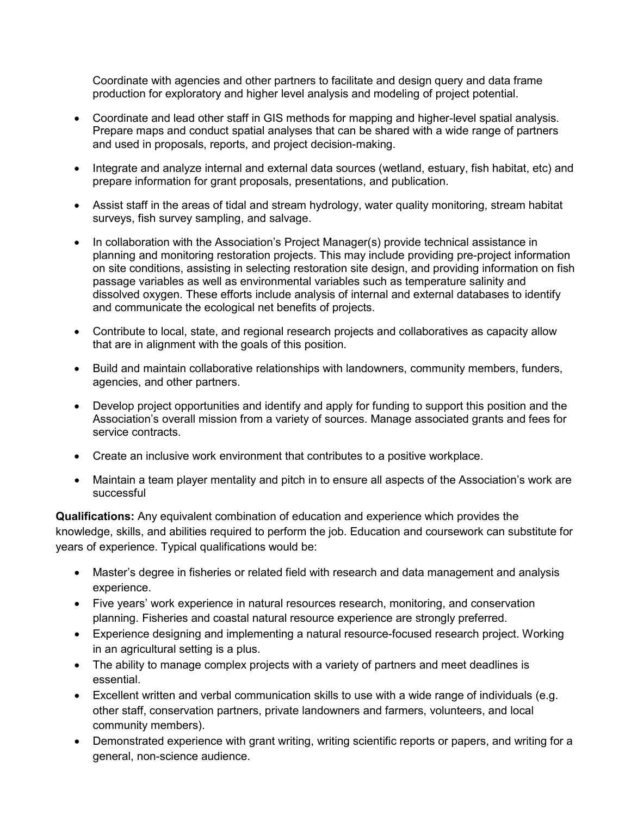Coordinate with agencies and other partners to facilitate and design query and data frame production for exploratory and higher level analysis and modeling of project potential.

- Coordinate and lead other staff in GIS methods for mapping and higher-level spatial analysis. Prepare maps and conduct spatial analyses that can be shared with a wide range of partners and used in proposals, reports, and project decision-making.
- Integrate and analyze internal and external data sources (wetland, estuary, fish habitat, etc) and prepare information for grant proposals, presentations, and publication.
- Assist staff in the areas of tidal and stream hydrology, water quality monitoring, stream habitat surveys, fish survey sampling, and salvage.
- In collaboration with the Association's Project Manager(s) provide technical assistance in planning and monitoring restoration projects. This may include providing pre-project information on site conditions, assisting in selecting restoration site design, and providing information on fish passage variables as well as environmental variables such as temperature salinity and dissolved oxygen. These efforts include analysis of internal and external databases to identify and communicate the ecological net benefits of projects.
- Contribute to local, state, and regional research projects and collaboratives as capacity allow that are in alignment with the goals of this position.
- Build and maintain collaborative relationships with landowners, community members, funders, agencies, and other partners.
- Develop project opportunities and identify and apply for funding to support this position and the Association's overall mission from a variety of sources. Manage associated grants and fees for service contracts.
- Create an inclusive work environment that contributes to a positive workplace.
- Maintain a team player mentality and pitch in to ensure all aspects of the Association's work are successful

**Qualifications:** Any equivalent combination of education and experience which provides the knowledge, skills, and abilities required to perform the job. Education and coursework can substitute for years of experience. Typical qualifications would be:

- Master's degree in fisheries or related field with research and data management and analysis experience.
- Five years' work experience in natural resources research, monitoring, and conservation planning. Fisheries and coastal natural resource experience are strongly preferred.
- Experience designing and implementing a natural resource-focused research project. Working in an agricultural setting is a plus.
- The ability to manage complex projects with a variety of partners and meet deadlines is essential.
- Excellent written and verbal communication skills to use with a wide range of individuals (e.g. other staff, conservation partners, private landowners and farmers, volunteers, and local community members).
- Demonstrated experience with grant writing, writing scientific reports or papers, and writing for a general, non-science audience.